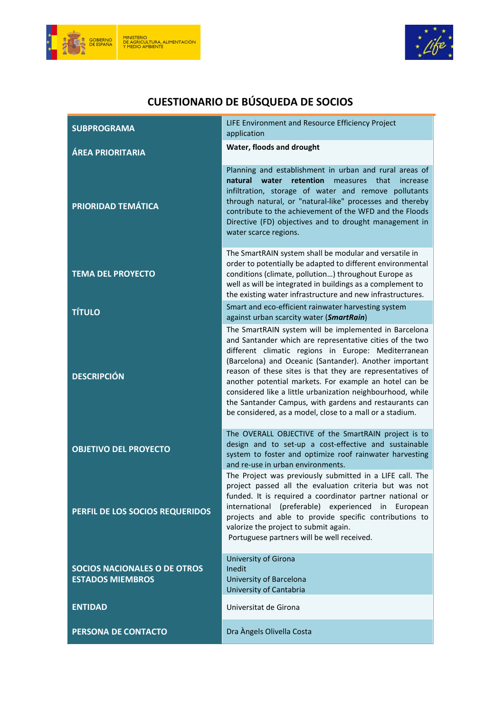



## CUESTIONARIO DE BÚSQUEDA DE SOCIOS

| <b>SUBPROGRAMA</b>                                             | LIFE Environment and Resource Efficiency Project<br>application                                                                                                                                                                                                                                                                                                                                                                                                                                                                               |
|----------------------------------------------------------------|-----------------------------------------------------------------------------------------------------------------------------------------------------------------------------------------------------------------------------------------------------------------------------------------------------------------------------------------------------------------------------------------------------------------------------------------------------------------------------------------------------------------------------------------------|
| <b>ÁREA PRIORITARIA</b>                                        | Water, floods and drought                                                                                                                                                                                                                                                                                                                                                                                                                                                                                                                     |
| <b>PRIORIDAD TEMÁTICA</b>                                      | Planning and establishment in urban and rural areas of<br>natural<br>water<br>retention<br>measures<br>that<br>increase<br>infiltration, storage of water and remove pollutants<br>through natural, or "natural-like" processes and thereby<br>contribute to the achievement of the WFD and the Floods<br>Directive (FD) objectives and to drought management in<br>water scarce regions.                                                                                                                                                     |
| <b>TEMA DEL PROYECTO</b>                                       | The SmartRAIN system shall be modular and versatile in<br>order to potentially be adapted to different environmental<br>conditions (climate, pollution) throughout Europe as<br>well as will be integrated in buildings as a complement to<br>the existing water infrastructure and new infrastructures.                                                                                                                                                                                                                                      |
| <b>TÍTULO</b>                                                  | Smart and eco-efficient rainwater harvesting system<br>against urban scarcity water (SmartRain)                                                                                                                                                                                                                                                                                                                                                                                                                                               |
| <b>DESCRIPCIÓN</b>                                             | The SmartRAIN system will be implemented in Barcelona<br>and Santander which are representative cities of the two<br>different climatic regions in Europe: Mediterranean<br>(Barcelona) and Oceanic (Santander). Another important<br>reason of these sites is that they are representatives of<br>another potential markets. For example an hotel can be<br>considered like a little urbanization neighbourhood, while<br>the Santander Campus, with gardens and restaurants can<br>be considered, as a model, close to a mall or a stadium. |
| <b>OBJETIVO DEL PROYECTO</b>                                   | The OVERALL OBJECTIVE of the SmartRAIN project is to<br>design and to set-up a cost-effective and sustainable<br>system to foster and optimize roof rainwater harvesting<br>and re-use in urban environments.                                                                                                                                                                                                                                                                                                                                 |
| PERFIL DE LOS SOCIOS REQUERIDOS                                | The Project was previously submitted in a LIFE call. The<br>project passed all the evaluation criteria but was not<br>funded. It is required a coordinator partner national or<br>international (preferable) experienced in European<br>projects and able to provide specific contributions to<br>valorize the project to submit again.<br>Portuguese partners will be well received.                                                                                                                                                         |
| <b>SOCIOS NACIONALES O DE OTROS</b><br><b>ESTADOS MIEMBROS</b> | University of Girona<br>Inedit<br>University of Barcelona<br>University of Cantabria                                                                                                                                                                                                                                                                                                                                                                                                                                                          |
| <b>ENTIDAD</b>                                                 | Universitat de Girona                                                                                                                                                                                                                                                                                                                                                                                                                                                                                                                         |
| PERSONA DE CONTACTO                                            | Dra Àngels Olivella Costa                                                                                                                                                                                                                                                                                                                                                                                                                                                                                                                     |